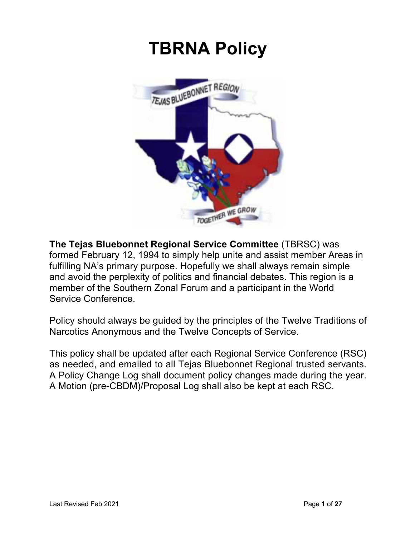# **TBRNA Policy**



**The Tejas Bluebonnet Regional Service Committee** (TBRSC) was formed February 12, 1994 to simply help unite and assist member Areas in fulfilling NA's primary purpose. Hopefully we shall always remain simple and avoid the perplexity of politics and financial debates. This region is a member of the Southern Zonal Forum and a participant in the World Service Conference.

Policy should always be guided by the principles of the Twelve Traditions of Narcotics Anonymous and the Twelve Concepts of Service.

This policy shall be updated after each Regional Service Conference (RSC) as needed, and emailed to all Tejas Bluebonnet Regional trusted servants. A Policy Change Log shall document policy changes made during the year. A Motion (pre-CBDM)/Proposal Log shall also be kept at each RSC.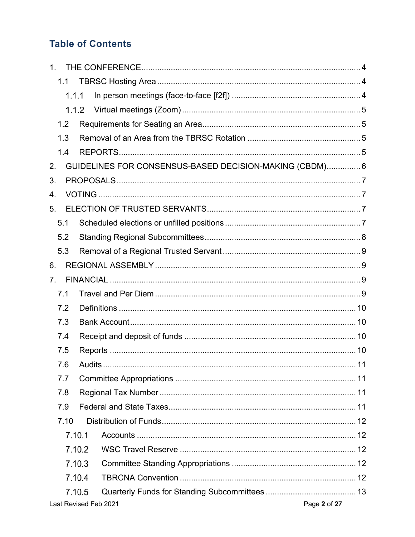## **Table of Contents**

| 1.             |                                                         |  |  |  |  |
|----------------|---------------------------------------------------------|--|--|--|--|
| 1.1            |                                                         |  |  |  |  |
| 1.1.1          |                                                         |  |  |  |  |
|                | 1.1.2                                                   |  |  |  |  |
| 1.2            |                                                         |  |  |  |  |
| 1.3            |                                                         |  |  |  |  |
| 1.4            |                                                         |  |  |  |  |
| 2.             | GUIDELINES FOR CONSENSUS-BASED DECISION-MAKING (CBDM) 6 |  |  |  |  |
| 3.             |                                                         |  |  |  |  |
| 4.             |                                                         |  |  |  |  |
| 5.             |                                                         |  |  |  |  |
| 5.1            |                                                         |  |  |  |  |
| 5.2            |                                                         |  |  |  |  |
| 5.3            |                                                         |  |  |  |  |
| 6.             |                                                         |  |  |  |  |
| 7 <sub>1</sub> |                                                         |  |  |  |  |
| 7.1            |                                                         |  |  |  |  |
| 7.2            |                                                         |  |  |  |  |
| 7.3            |                                                         |  |  |  |  |
| 7.4            |                                                         |  |  |  |  |
| 7.5            |                                                         |  |  |  |  |
| 7.6            |                                                         |  |  |  |  |
| 7.7            |                                                         |  |  |  |  |
| 7.8            |                                                         |  |  |  |  |
| 7.9            |                                                         |  |  |  |  |
| 7.10           |                                                         |  |  |  |  |
|                | 7.10.1                                                  |  |  |  |  |
|                | 7.10.2                                                  |  |  |  |  |
|                | 7.10.3                                                  |  |  |  |  |
|                | 7.10.4                                                  |  |  |  |  |
|                | 7.10.5                                                  |  |  |  |  |
|                | Page 2 of 27<br>Last Revised Feb 2021                   |  |  |  |  |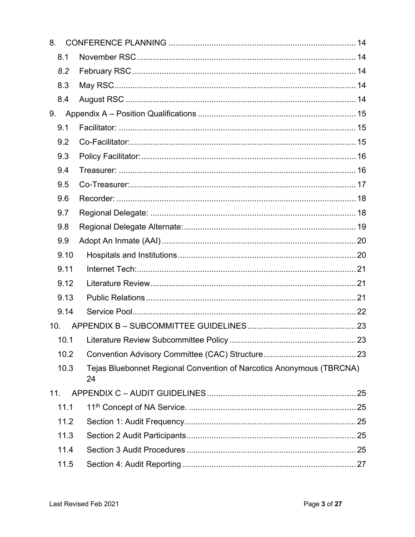| 8.   |                                                                            |  |
|------|----------------------------------------------------------------------------|--|
| 8.1  |                                                                            |  |
| 8.2  |                                                                            |  |
| 8.3  |                                                                            |  |
| 8.4  |                                                                            |  |
| 9.   |                                                                            |  |
| 9.1  |                                                                            |  |
| 9.2  |                                                                            |  |
| 9.3  |                                                                            |  |
| 9.4  |                                                                            |  |
| 9.5  |                                                                            |  |
| 9.6  |                                                                            |  |
| 9.7  |                                                                            |  |
| 9.8  |                                                                            |  |
| 9.9  |                                                                            |  |
| 9.10 |                                                                            |  |
| 9.11 |                                                                            |  |
| 9.12 |                                                                            |  |
| 9.13 |                                                                            |  |
| 9.14 |                                                                            |  |
| 10.  |                                                                            |  |
|      |                                                                            |  |
| 10.2 |                                                                            |  |
| 10.3 | Tejas Bluebonnet Regional Convention of Narcotics Anonymous (TBRCNA)<br>24 |  |
| 11.  |                                                                            |  |
| 11.1 |                                                                            |  |
| 11.2 |                                                                            |  |
| 11.3 |                                                                            |  |
| 11.4 |                                                                            |  |
| 11.5 |                                                                            |  |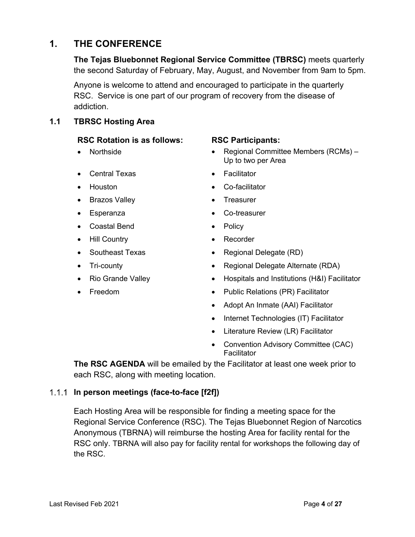### **1. THE CONFERENCE**

**The Tejas Bluebonnet Regional Service Committee (TBRSC)** meets quarterly the second Saturday of February, May, August, and November from 9am to 5pm.

Anyone is welcome to attend and encouraged to participate in the quarterly RSC. Service is one part of our program of recovery from the disease of addiction.

**1.1 TBRSC Hosting Area**

### **RSC Rotation is as follows: RSC Participants:**

### • Central Texas • Facilitator

- 
- Brazos Valley Treasurer
- 
- Coastal Bend Policy
- Hill Country  **Recorder**
- 
- 
- 
- 

- Northside Regional Committee Members (RCMs) Up to two per Area
	-
- Houston Co-facilitator
	-
- Esperanza Co-treasurer
	-
	-
	- Southeast Texas Regional Delegate (RD)
	- Tri-county Regional Delegate Alternate (RDA)
	- Rio Grande Valley Hospitals and Institutions (H&I) Facilitator
	- **Freedom** Public Relations (PR) Facilitator
		- Adopt An Inmate (AAI) Facilitator
		- Internet Technologies (IT) Facilitator
		- Literature Review (LR) Facilitator
		- Convention Advisory Committee (CAC) **Facilitator**

**The RSC AGENDA** will be emailed by the Facilitator at least one week prior to each RSC, along with meeting location.

### **In person meetings (face-to-face [f2f])**

Each Hosting Area will be responsible for finding a meeting space for the Regional Service Conference (RSC). The Tejas Bluebonnet Region of Narcotics Anonymous (TBRNA) will reimburse the hosting Area for facility rental for the RSC only. TBRNA will also pay for facility rental for workshops the following day of the RSC.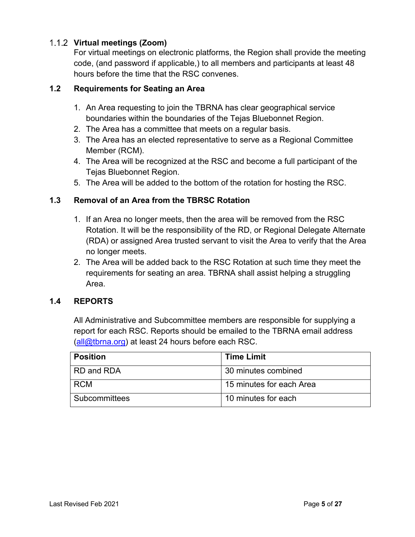### **Virtual meetings (Zoom)**

For virtual meetings on electronic platforms, the Region shall provide the meeting code, (and password if applicable,) to all members and participants at least 48 hours before the time that the RSC convenes.

### **1.2 Requirements for Seating an Area**

- 1. An Area requesting to join the TBRNA has clear geographical service boundaries within the boundaries of the Tejas Bluebonnet Region.
- 2. The Area has a committee that meets on a regular basis.
- 3. The Area has an elected representative to serve as a Regional Committee Member (RCM).
- 4. The Area will be recognized at the RSC and become a full participant of the Tejas Bluebonnet Region.
- 5. The Area will be added to the bottom of the rotation for hosting the RSC.

### **1.3 Removal of an Area from the TBRSC Rotation**

- 1. If an Area no longer meets, then the area will be removed from the RSC Rotation. It will be the responsibility of the RD, or Regional Delegate Alternate (RDA) or assigned Area trusted servant to visit the Area to verify that the Area no longer meets.
- 2. The Area will be added back to the RSC Rotation at such time they meet the requirements for seating an area. TBRNA shall assist helping a struggling Area.

### **1.4 REPORTS**

All Administrative and Subcommittee members are responsible for supplying a report for each RSC. Reports should be emailed to the TBRNA email address (all@tbrna.org) at least 24 hours before each RSC.

| <b>Position</b> | <b>Time Limit</b>        |  |  |
|-----------------|--------------------------|--|--|
| RD and RDA      | 30 minutes combined      |  |  |
| <b>RCM</b>      | 15 minutes for each Area |  |  |
| Subcommittees   | 10 minutes for each      |  |  |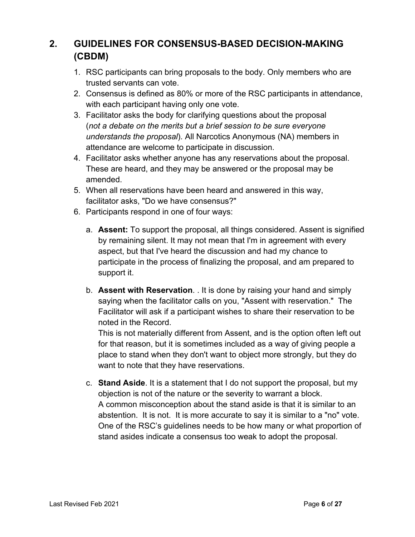### **2. GUIDELINES FOR CONSENSUS-BASED DECISION-MAKING (CBDM)**

- 1. RSC participants can bring proposals to the body. Only members who are trusted servants can vote.
- 2. Consensus is defined as 80% or more of the RSC participants in attendance, with each participant having only one vote.
- 3. Facilitator asks the body for clarifying questions about the proposal (*not a debate on the merits but a brief session to be sure everyone understands the proposal*). All Narcotics Anonymous (NA) members in attendance are welcome to participate in discussion.
- 4. Facilitator asks whether anyone has any reservations about the proposal. These are heard, and they may be answered or the proposal may be amended.
- 5. When all reservations have been heard and answered in this way, facilitator asks, "Do we have consensus?"
- 6. Participants respond in one of four ways:
	- a. **Assent:** To support the proposal, all things considered. Assent is signified by remaining silent. It may not mean that I'm in agreement with every aspect, but that I've heard the discussion and had my chance to participate in the process of finalizing the proposal, and am prepared to support it.
	- b. **Assent with Reservation**. . It is done by raising your hand and simply saying when the facilitator calls on you, "Assent with reservation." The Facilitator will ask if a participant wishes to share their reservation to be noted in the Record.

This is not materially different from Assent, and is the option often left out for that reason, but it is sometimes included as a way of giving people a place to stand when they don't want to object more strongly, but they do want to note that they have reservations.

c. **Stand Aside**. It is a statement that I do not support the proposal, but my objection is not of the nature or the severity to warrant a block. A common misconception about the stand aside is that it is similar to an abstention. It is not. It is more accurate to say it is similar to a "no" vote. One of the RSC's guidelines needs to be how many or what proportion of stand asides indicate a consensus too weak to adopt the proposal.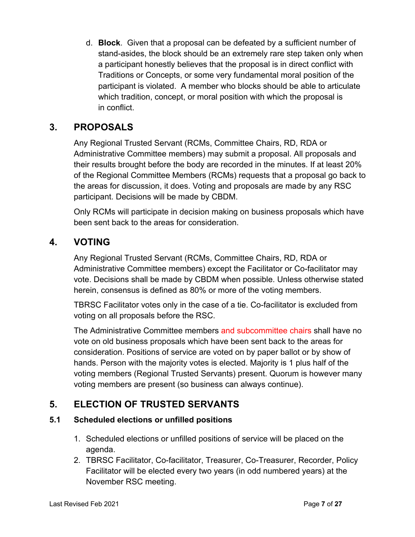d. **Block**. Given that a proposal can be defeated by a sufficient number of stand-asides, the block should be an extremely rare step taken only when a participant honestly believes that the proposal is in direct conflict with Traditions or Concepts, or some very fundamental moral position of the participant is violated. A member who blocks should be able to articulate which tradition, concept, or moral position with which the proposal is in conflict.

### **3. PROPOSALS**

Any Regional Trusted Servant (RCMs, Committee Chairs, RD, RDA or Administrative Committee members) may submit a proposal. All proposals and their results brought before the body are recorded in the minutes. If at least 20% of the Regional Committee Members (RCMs) requests that a proposal go back to the areas for discussion, it does. Voting and proposals are made by any RSC participant. Decisions will be made by CBDM.

Only RCMs will participate in decision making on business proposals which have been sent back to the areas for consideration.

### **4. VOTING**

Any Regional Trusted Servant (RCMs, Committee Chairs, RD, RDA or Administrative Committee members) except the Facilitator or Co-facilitator may vote. Decisions shall be made by CBDM when possible. Unless otherwise stated herein, consensus is defined as 80% or more of the voting members.

TBRSC Facilitator votes only in the case of a tie. Co-facilitator is excluded from voting on all proposals before the RSC.

The Administrative Committee members and subcommittee chairs shall have no vote on old business proposals which have been sent back to the areas for consideration. Positions of service are voted on by paper ballot or by show of hands. Person with the majority votes is elected. Majority is 1 plus half of the voting members (Regional Trusted Servants) present. Quorum is however many voting members are present (so business can always continue).

### **5. ELECTION OF TRUSTED SERVANTS**

### **5.1 Scheduled elections or unfilled positions**

- 1. Scheduled elections or unfilled positions of service will be placed on the agenda.
- 2. TBRSC Facilitator, Co-facilitator, Treasurer, Co-Treasurer, Recorder, Policy Facilitator will be elected every two years (in odd numbered years) at the November RSC meeting.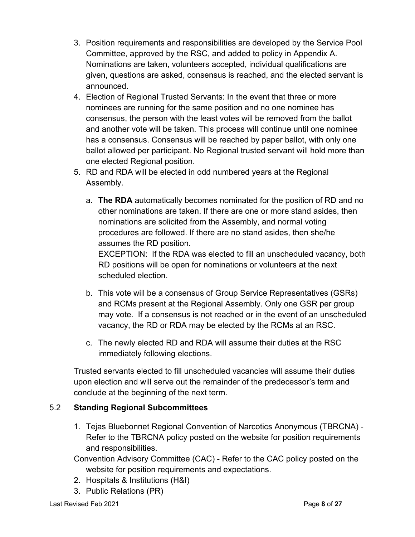- 3. Position requirements and responsibilities are developed by the Service Pool Committee, approved by the RSC, and added to policy in Appendix A. Nominations are taken, volunteers accepted, individual qualifications are given, questions are asked, consensus is reached, and the elected servant is announced.
- 4. Election of Regional Trusted Servants: In the event that three or more nominees are running for the same position and no one nominee has consensus, the person with the least votes will be removed from the ballot and another vote will be taken. This process will continue until one nominee has a consensus. Consensus will be reached by paper ballot, with only one ballot allowed per participant. No Regional trusted servant will hold more than one elected Regional position.
- 5. RD and RDA will be elected in odd numbered years at the Regional Assembly.
	- a. **The RDA** automatically becomes nominated for the position of RD and no other nominations are taken. If there are one or more stand asides, then nominations are solicited from the Assembly, and normal voting procedures are followed. If there are no stand asides, then she/he assumes the RD position. EXCEPTION: If the RDA was elected to fill an unscheduled vacancy, both

RD positions will be open for nominations or volunteers at the next scheduled election.

- b. This vote will be a consensus of Group Service Representatives (GSRs) and RCMs present at the Regional Assembly. Only one GSR per group may vote. If a consensus is not reached or in the event of an unscheduled vacancy, the RD or RDA may be elected by the RCMs at an RSC.
- c. The newly elected RD and RDA will assume their duties at the RSC immediately following elections.

Trusted servants elected to fill unscheduled vacancies will assume their duties upon election and will serve out the remainder of the predecessor's term and conclude at the beginning of the next term.

### 5.2 **Standing Regional Subcommittees**

- 1. Tejas Bluebonnet Regional Convention of Narcotics Anonymous (TBRCNA) Refer to the TBRCNA policy posted on the website for position requirements and responsibilities.
- Convention Advisory Committee (CAC) Refer to the CAC policy posted on the website for position requirements and expectations.
- 2. Hospitals & Institutions (H&I)
- 3. Public Relations (PR)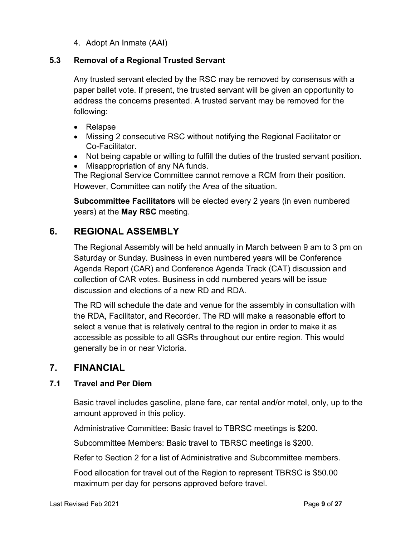4. Adopt An Inmate (AAI)

### **5.3 Removal of a Regional Trusted Servant**

Any trusted servant elected by the RSC may be removed by consensus with a paper ballet vote. If present, the trusted servant will be given an opportunity to address the concerns presented. A trusted servant may be removed for the following:

- Relapse
- Missing 2 consecutive RSC without notifying the Regional Facilitator or Co-Facilitator.
- Not being capable or willing to fulfill the duties of the trusted servant position.
- Misappropriation of any NA funds.

The Regional Service Committee cannot remove a RCM from their position. However, Committee can notify the Area of the situation.

**Subcommittee Facilitators** will be elected every 2 years (in even numbered years) at the **May RSC** meeting.

### **6. REGIONAL ASSEMBLY**

The Regional Assembly will be held annually in March between 9 am to 3 pm on Saturday or Sunday. Business in even numbered years will be Conference Agenda Report (CAR) and Conference Agenda Track (CAT) discussion and collection of CAR votes. Business in odd numbered years will be issue discussion and elections of a new RD and RDA.

The RD will schedule the date and venue for the assembly in consultation with the RDA, Facilitator, and Recorder. The RD will make a reasonable effort to select a venue that is relatively central to the region in order to make it as accessible as possible to all GSRs throughout our entire region. This would generally be in or near Victoria.

### **7. FINANCIAL**

### **7.1 Travel and Per Diem**

Basic travel includes gasoline, plane fare, car rental and/or motel, only, up to the amount approved in this policy.

Administrative Committee: Basic travel to TBRSC meetings is \$200.

Subcommittee Members: Basic travel to TBRSC meetings is \$200.

Refer to Section 2 for a list of Administrative and Subcommittee members.

Food allocation for travel out of the Region to represent TBRSC is \$50.00 maximum per day for persons approved before travel.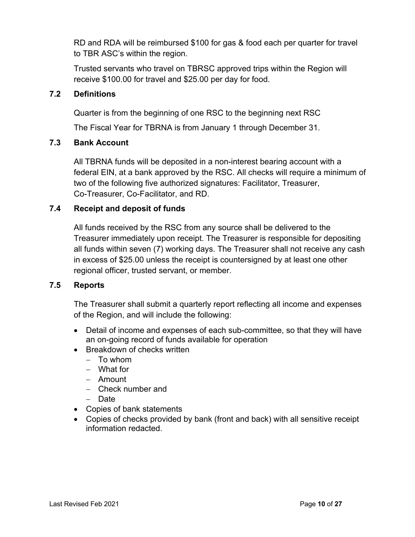RD and RDA will be reimbursed \$100 for gas & food each per quarter for travel to TBR ASC's within the region.

Trusted servants who travel on TBRSC approved trips within the Region will receive \$100.00 for travel and \$25.00 per day for food.

### **7.2 Definitions**

Quarter is from the beginning of one RSC to the beginning next RSC

The Fiscal Year for TBRNA is from January 1 through December 31.

### **7.3 Bank Account**

All TBRNA funds will be deposited in a non-interest bearing account with a federal EIN, at a bank approved by the RSC. All checks will require a minimum of two of the following five authorized signatures: Facilitator, Treasurer, Co-Treasurer, Co-Facilitator, and RD.

### **7.4 Receipt and deposit of funds**

All funds received by the RSC from any source shall be delivered to the Treasurer immediately upon receipt. The Treasurer is responsible for depositing all funds within seven (7) working days. The Treasurer shall not receive any cash in excess of \$25.00 unless the receipt is countersigned by at least one other regional officer, trusted servant, or member.

### **7.5 Reports**

The Treasurer shall submit a quarterly report reflecting all income and expenses of the Region, and will include the following:

- Detail of income and expenses of each sub-committee, so that they will have an on-going record of funds available for operation
- Breakdown of checks written
	- $-$  To whom
	- What for
	- Amount
	- Check number and
	- Date
- Copies of bank statements
- Copies of checks provided by bank (front and back) with all sensitive receipt information redacted.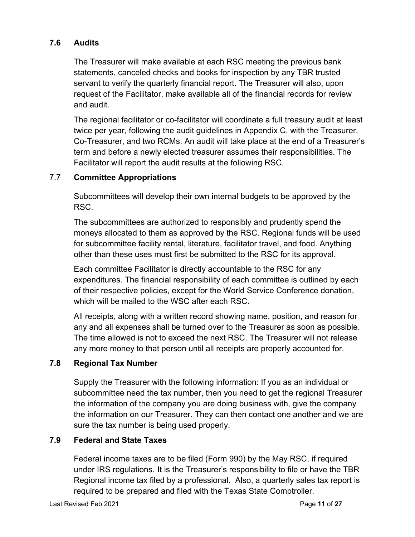### **7.6 Audits**

The Treasurer will make available at each RSC meeting the previous bank statements, canceled checks and books for inspection by any TBR trusted servant to verify the quarterly financial report. The Treasurer will also, upon request of the Facilitator, make available all of the financial records for review and audit.

The regional facilitator or co-facilitator will coordinate a full treasury audit at least twice per year, following the audit guidelines in Appendix C, with the Treasurer, Co-Treasurer, and two RCMs. An audit will take place at the end of a Treasurer's term and before a newly elected treasurer assumes their responsibilities. The Facilitator will report the audit results at the following RSC.

### 7.7 **Committee Appropriations**

Subcommittees will develop their own internal budgets to be approved by the RSC.

The subcommittees are authorized to responsibly and prudently spend the moneys allocated to them as approved by the RSC. Regional funds will be used for subcommittee facility rental, literature, facilitator travel, and food. Anything other than these uses must first be submitted to the RSC for its approval.

Each committee Facilitator is directly accountable to the RSC for any expenditures. The financial responsibility of each committee is outlined by each of their respective policies, except for the World Service Conference donation, which will be mailed to the WSC after each RSC.

All receipts, along with a written record showing name, position, and reason for any and all expenses shall be turned over to the Treasurer as soon as possible. The time allowed is not to exceed the next RSC. The Treasurer will not release any more money to that person until all receipts are properly accounted for.

### **7.8 Regional Tax Number**

Supply the Treasurer with the following information: If you as an individual or subcommittee need the tax number, then you need to get the regional Treasurer the information of the company you are doing business with, give the company the information on our Treasurer. They can then contact one another and we are sure the tax number is being used properly.

### **7.9 Federal and State Taxes**

Federal income taxes are to be filed (Form 990) by the May RSC, if required under IRS regulations. It is the Treasurer's responsibility to file or have the TBR Regional income tax filed by a professional. Also, a quarterly sales tax report is required to be prepared and filed with the Texas State Comptroller.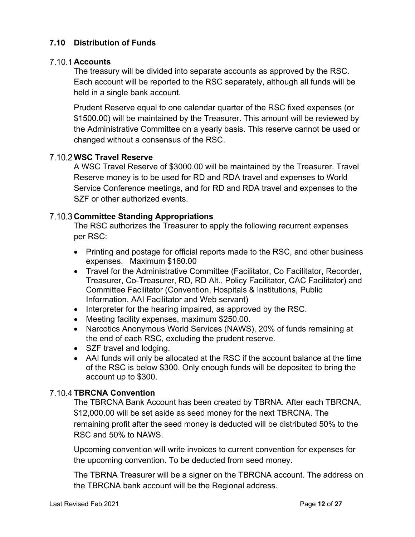### **7.10 Distribution of Funds**

### **Accounts**

The treasury will be divided into separate accounts as approved by the RSC. Each account will be reported to the RSC separately, although all funds will be held in a single bank account.

Prudent Reserve equal to one calendar quarter of the RSC fixed expenses (or \$1500.00) will be maintained by the Treasurer. This amount will be reviewed by the Administrative Committee on a yearly basis. This reserve cannot be used or changed without a consensus of the RSC.

### **WSC Travel Reserve**

A WSC Travel Reserve of \$3000.00 will be maintained by the Treasurer. Travel Reserve money is to be used for RD and RDA travel and expenses to World Service Conference meetings, and for RD and RDA travel and expenses to the SZF or other authorized events.

### **7.10.3 Committee Standing Appropriations**

The RSC authorizes the Treasurer to apply the following recurrent expenses per RSC:

- Printing and postage for official reports made to the RSC, and other business expenses. Maximum \$160.00
- Travel for the Administrative Committee (Facilitator, Co Facilitator, Recorder, Treasurer, Co-Treasurer, RD, RD Alt., Policy Facilitator, CAC Facilitator) and Committee Facilitator (Convention, Hospitals & Institutions, Public Information, AAI Facilitator and Web servant)
- Interpreter for the hearing impaired, as approved by the RSC.
- Meeting facility expenses, maximum \$250.00.
- Narcotics Anonymous World Services (NAWS), 20% of funds remaining at the end of each RSC, excluding the prudent reserve.
- SZF travel and lodging.
- AAI funds will only be allocated at the RSC if the account balance at the time of the RSC is below \$300. Only enough funds will be deposited to bring the account up to \$300.

### **7.10.4 TBRCNA Convention**

The TBRCNA Bank Account has been created by TBRNA. After each TBRCNA, \$12,000.00 will be set aside as seed money for the next TBRCNA. The remaining profit after the seed money is deducted will be distributed 50% to the RSC and 50% to NAWS.

Upcoming convention will write invoices to current convention for expenses for the upcoming convention. To be deducted from seed money.

The TBRNA Treasurer will be a signer on the TBRCNA account. The address on the TBRCNA bank account will be the Regional address.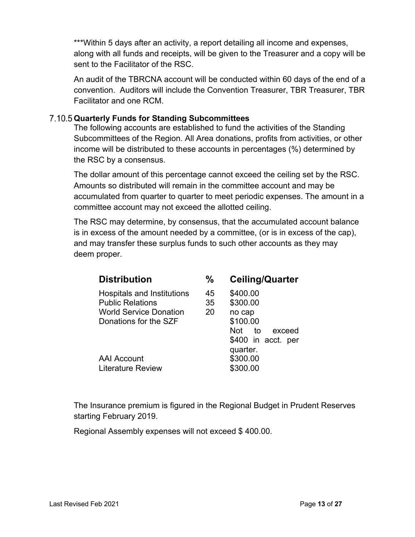\*\*\*Within 5 days after an activity, a report detailing all income and expenses, along with all funds and receipts, will be given to the Treasurer and a copy will be sent to the Facilitator of the RSC.

An audit of the TBRCNA account will be conducted within 60 days of the end of a convention. Auditors will include the Convention Treasurer, TBR Treasurer, TBR Facilitator and one RCM.

### **Quarterly Funds for Standing Subcommittees**

The following accounts are established to fund the activities of the Standing Subcommittees of the Region. All Area donations, profits from activities, or other income will be distributed to these accounts in percentages (%) determined by the RSC by a consensus.

The dollar amount of this percentage cannot exceed the ceiling set by the RSC. Amounts so distributed will remain in the committee account and may be accumulated from quarter to quarter to meet periodic expenses. The amount in a committee account may not exceed the allotted ceiling.

The RSC may determine, by consensus, that the accumulated account balance is in excess of the amount needed by a committee, (or is in excess of the cap), and may transfer these surplus funds to such other accounts as they may deem proper.

| <b>Distribution</b>                                                                                             | $\%$           | <b>Ceiling/Quarter</b>                                                     |
|-----------------------------------------------------------------------------------------------------------------|----------------|----------------------------------------------------------------------------|
| Hospitals and Institutions<br><b>Public Relations</b><br><b>World Service Donation</b><br>Donations for the SZF | 45<br>35<br>20 | \$400.00<br>\$300.00<br>no cap<br>\$100.00                                 |
| <b>AAI Account</b><br><b>Literature Review</b>                                                                  |                | Not to<br>exceed<br>\$400 in acct. per<br>quarter.<br>\$300.00<br>\$300.00 |

The Insurance premium is figured in the Regional Budget in Prudent Reserves starting February 2019.

Regional Assembly expenses will not exceed \$ 400.00.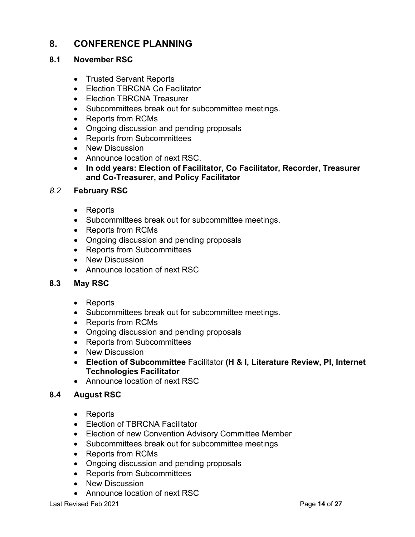### **8. CONFERENCE PLANNING**

### **8.1 November RSC**

- Trusted Servant Reports
- Election TBRCNA Co Facilitator
- Election TBRCNA Treasurer
- Subcommittees break out for subcommittee meetings.
- Reports from RCMs
- Ongoing discussion and pending proposals
- Reports from Subcommittees
- New Discussion
- Announce location of next RSC.
- **In odd years: Election of Facilitator, Co Facilitator, Recorder, Treasurer and Co-Treasurer, and Policy Facilitator**

### *8.2* **February RSC**

- Reports
- Subcommittees break out for subcommittee meetings.
- Reports from RCMs
- Ongoing discussion and pending proposals
- Reports from Subcommittees
- New Discussion
- Announce location of next RSC

### **8.3 May RSC**

- Reports
- Subcommittees break out for subcommittee meetings.
- Reports from RCMs
- Ongoing discussion and pending proposals
- Reports from Subcommittees
- New Discussion
- **Election of Subcommittee** Facilitator **(H & I, Literature Review, PI, Internet Technologies Facilitator**
- Announce location of next RSC

### **8.4 August RSC**

- Reports
- Election of TBRCNA Facilitator
- Election of new Convention Advisory Committee Member
- Subcommittees break out for subcommittee meetings
- Reports from RCMs
- Ongoing discussion and pending proposals
- Reports from Subcommittees
- New Discussion
- Announce location of next RSC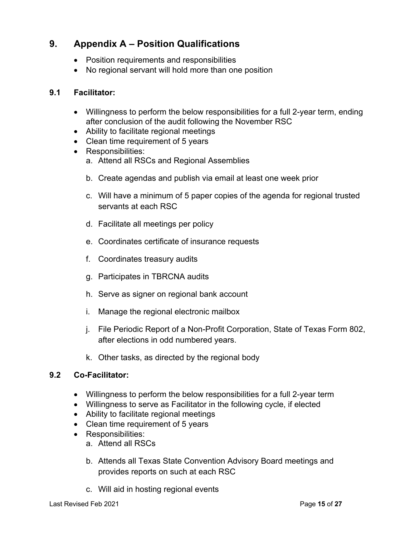### **9. Appendix A – Position Qualifications**

- Position requirements and responsibilities
- No regional servant will hold more than one position

### **9.1 Facilitator:**

- Willingness to perform the below responsibilities for a full 2-year term, ending after conclusion of the audit following the November RSC
- Ability to facilitate regional meetings
- Clean time requirement of 5 years
- Responsibilities:
	- a. Attend all RSCs and Regional Assemblies
	- b. Create agendas and publish via email at least one week prior
	- c. Will have a minimum of 5 paper copies of the agenda for regional trusted servants at each RSC
	- d. Facilitate all meetings per policy
	- e. Coordinates certificate of insurance requests
	- f. Coordinates treasury audits
	- g. Participates in TBRCNA audits
	- h. Serve as signer on regional bank account
	- i. Manage the regional electronic mailbox
	- j. File Periodic Report of a Non-Profit Corporation, State of Texas Form 802, after elections in odd numbered years.
	- k. Other tasks, as directed by the regional body

### **9.2 Co-Facilitator:**

- Willingness to perform the below responsibilities for a full 2-year term
- Willingness to serve as Facilitator in the following cycle, if elected
- Ability to facilitate regional meetings
- Clean time requirement of 5 years
- Responsibilities:
	- a. Attend all RSCs
	- b. Attends all Texas State Convention Advisory Board meetings and provides reports on such at each RSC
	- c. Will aid in hosting regional events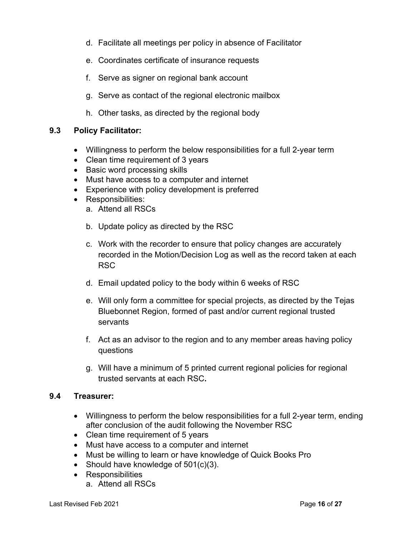- d. Facilitate all meetings per policy in absence of Facilitator
- e. Coordinates certificate of insurance requests
- f. Serve as signer on regional bank account
- g. Serve as contact of the regional electronic mailbox
- h. Other tasks, as directed by the regional body

### **9.3 Policy Facilitator:**

- Willingness to perform the below responsibilities for a full 2-year term
- Clean time requirement of 3 years
- Basic word processing skills
- Must have access to a computer and internet
- Experience with policy development is preferred
- Responsibilities:
	- a. Attend all RSCs
	- b. Update policy as directed by the RSC
	- c. Work with the recorder to ensure that policy changes are accurately recorded in the Motion/Decision Log as well as the record taken at each RSC
	- d. Email updated policy to the body within 6 weeks of RSC
	- e. Will only form a committee for special projects, as directed by the Tejas Bluebonnet Region, formed of past and/or current regional trusted servants
	- f. Act as an advisor to the region and to any member areas having policy questions
	- g. Will have a minimum of 5 printed current regional policies for regional trusted servants at each RSC**.**

### **9.4 Treasurer:**

- Willingness to perform the below responsibilities for a full 2-year term, ending after conclusion of the audit following the November RSC
- Clean time requirement of 5 years
- Must have access to a computer and internet
- Must be willing to learn or have knowledge of Quick Books Pro
- Should have knowledge of 501(c)(3).
- Responsibilities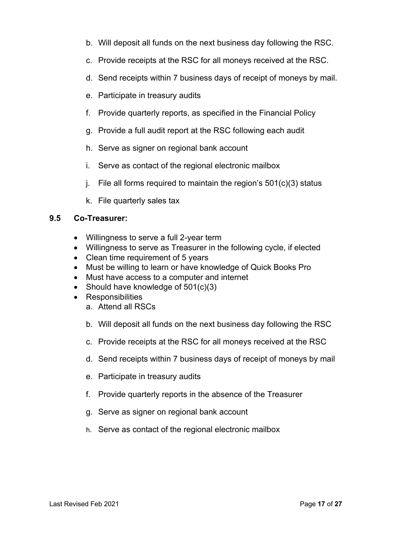- b. Will deposit all funds on the next business day following the RSC.
- c. Provide receipts at the RSC for all moneys received at the RSC.
- d. Send receipts within 7 business days of receipt of moneys by mail.
- e. Participate in treasury audits
- f. Provide quarterly reports, as specified in the Financial Policy
- g. Provide a full audit report at the RSC following each audit
- h. Serve as signer on regional bank account
- i. Serve as contact of the regional electronic mailbox
- j. File all forms required to maintain the region's  $501(c)(3)$  status
- k. File quarterly sales tax

### **9.5 Co-Treasurer:**

- Willingness to serve a full 2-year term
- Willingness to serve as Treasurer in the following cycle, if elected
- Clean time requirement of 5 years
- Must be willing to learn or have knowledge of Quick Books Pro
- Must have access to a computer and internet
- Should have knowledge of 501(c)(3)
- Responsibilities
	- a. Attend all RSCs
	- b. Will deposit all funds on the next business day following the RSC
	- c. Provide receipts at the RSC for all moneys received at the RSC
	- d. Send receipts within 7 business days of receipt of moneys by mail
	- e. Participate in treasury audits
	- f. Provide quarterly reports in the absence of the Treasurer
	- g. Serve as signer on regional bank account
	- h. Serve as contact of the regional electronic mailbox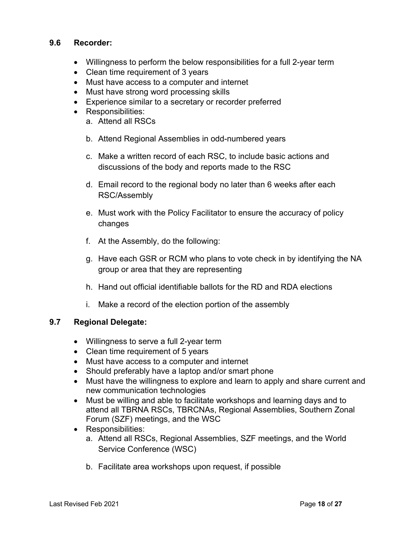### **9.6 Recorder:**

- Willingness to perform the below responsibilities for a full 2-year term
- Clean time requirement of 3 years
- Must have access to a computer and internet
- Must have strong word processing skills
- Experience similar to a secretary or recorder preferred
- Responsibilities:
	- a. Attend all RSCs
	- b. Attend Regional Assemblies in odd-numbered years
	- c. Make a written record of each RSC, to include basic actions and discussions of the body and reports made to the RSC
	- d. Email record to the regional body no later than 6 weeks after each RSC/Assembly
	- e. Must work with the Policy Facilitator to ensure the accuracy of policy changes
	- f. At the Assembly, do the following:
	- g. Have each GSR or RCM who plans to vote check in by identifying the NA group or area that they are representing
	- h. Hand out official identifiable ballots for the RD and RDA elections
	- i. Make a record of the election portion of the assembly

### **9.7 Regional Delegate:**

- Willingness to serve a full 2-year term
- Clean time requirement of 5 years
- Must have access to a computer and internet
- Should preferably have a laptop and/or smart phone
- Must have the willingness to explore and learn to apply and share current and new communication technologies
- Must be willing and able to facilitate workshops and learning days and to attend all TBRNA RSCs, TBRCNAs, Regional Assemblies, Southern Zonal Forum (SZF) meetings, and the WSC
- Responsibilities:
	- a. Attend all RSCs, Regional Assemblies, SZF meetings, and the World Service Conference (WSC)
	- b. Facilitate area workshops upon request, if possible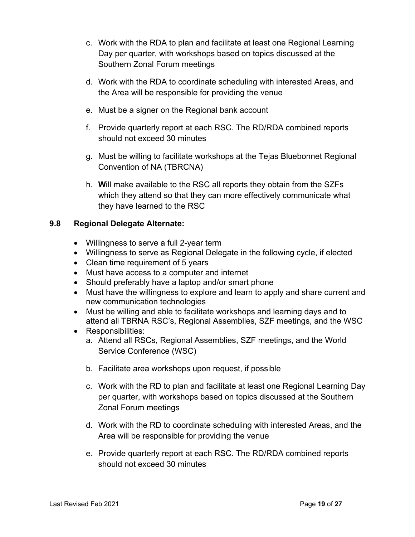- c. Work with the RDA to plan and facilitate at least one Regional Learning Day per quarter, with workshops based on topics discussed at the Southern Zonal Forum meetings
- d. Work with the RDA to coordinate scheduling with interested Areas, and the Area will be responsible for providing the venue
- e. Must be a signer on the Regional bank account
- f. Provide quarterly report at each RSC. The RD/RDA combined reports should not exceed 30 minutes
- g. Must be willing to facilitate workshops at the Tejas Bluebonnet Regional Convention of NA (TBRCNA)
- h. **W**ill make available to the RSC all reports they obtain from the SZFs which they attend so that they can more effectively communicate what they have learned to the RSC

### **9.8 Regional Delegate Alternate:**

- Willingness to serve a full 2-year term
- Willingness to serve as Regional Delegate in the following cycle, if elected
- Clean time requirement of 5 years
- Must have access to a computer and internet
- Should preferably have a laptop and/or smart phone
- Must have the willingness to explore and learn to apply and share current and new communication technologies
- Must be willing and able to facilitate workshops and learning days and to attend all TBRNA RSC's, Regional Assemblies, SZF meetings, and the WSC
- Responsibilities:
	- a. Attend all RSCs, Regional Assemblies, SZF meetings, and the World Service Conference (WSC)
	- b. Facilitate area workshops upon request, if possible
	- c. Work with the RD to plan and facilitate at least one Regional Learning Day per quarter, with workshops based on topics discussed at the Southern Zonal Forum meetings
	- d. Work with the RD to coordinate scheduling with interested Areas, and the Area will be responsible for providing the venue
	- e. Provide quarterly report at each RSC. The RD/RDA combined reports should not exceed 30 minutes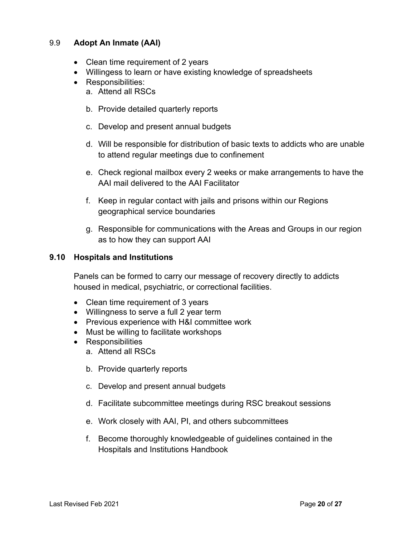### 9.9 **Adopt An Inmate (AAI)**

- Clean time requirement of 2 years
- Willingess to learn or have existing knowledge of spreadsheets
- Responsibilities:
	- a. Attend all RSCs
	- b. Provide detailed quarterly reports
	- c. Develop and present annual budgets
	- d. Will be responsible for distribution of basic texts to addicts who are unable to attend regular meetings due to confinement
	- e. Check regional mailbox every 2 weeks or make arrangements to have the AAI mail delivered to the AAI Facilitator
	- f. Keep in regular contact with jails and prisons within our Regions geographical service boundaries
	- g. Responsible for communications with the Areas and Groups in our region as to how they can support AAI

### **9.10 Hospitals and Institutions**

Panels can be formed to carry our message of recovery directly to addicts housed in medical, psychiatric, or correctional facilities.

- Clean time requirement of 3 years
- Willingness to serve a full 2 year term
- Previous experience with H&I committee work
- Must be willing to facilitate workshops
- Responsibilities
	- a. Attend all RSCs
	- b. Provide quarterly reports
	- c. Develop and present annual budgets
	- d. Facilitate subcommittee meetings during RSC breakout sessions
	- e. Work closely with AAI, PI, and others subcommittees
	- f. Become thoroughly knowledgeable of guidelines contained in the Hospitals and Institutions Handbook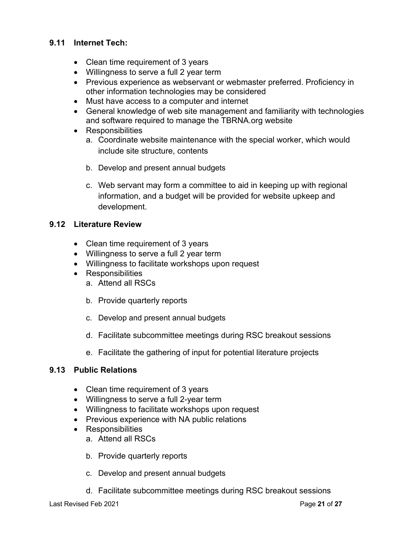### **9.11 Internet Tech:**

- Clean time requirement of 3 years
- Willingness to serve a full 2 year term
- Previous experience as webservant or webmaster preferred. Proficiency in other information technologies may be considered
- Must have access to a computer and internet
- General knowledge of web site management and familiarity with technologies and software required to manage the TBRNA.org website
- Responsibilities
	- a. Coordinate website maintenance with the special worker, which would include site structure, contents
	- b. Develop and present annual budgets
	- c. Web servant may form a committee to aid in keeping up with regional information, and a budget will be provided for website upkeep and development.

### **9.12 Literature Review**

- Clean time requirement of 3 years
- Willingness to serve a full 2 year term
- Willingness to facilitate workshops upon request
- Responsibilities
	- a. Attend all RSCs
	- b. Provide quarterly reports
	- c. Develop and present annual budgets
	- d. Facilitate subcommittee meetings during RSC breakout sessions
	- e. Facilitate the gathering of input for potential literature projects

### **9.13 Public Relations**

- Clean time requirement of 3 years
- Willingness to serve a full 2-year term
- Willingness to facilitate workshops upon request
- Previous experience with NA public relations
- Responsibilities
	- a. Attend all RSCs
	- b. Provide quarterly reports
	- c. Develop and present annual budgets
	- d. Facilitate subcommittee meetings during RSC breakout sessions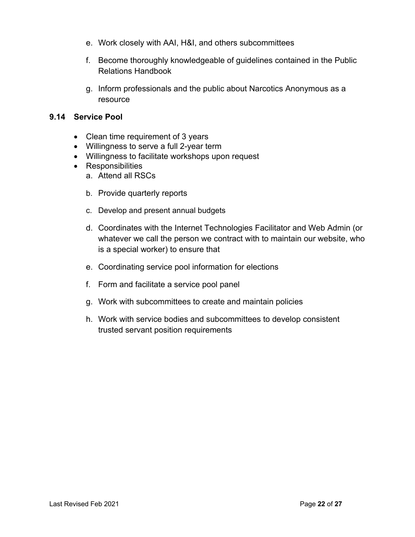- e. Work closely with AAI, H&I, and others subcommittees
- f. Become thoroughly knowledgeable of guidelines contained in the Public Relations Handbook
- g. Inform professionals and the public about Narcotics Anonymous as a resource

### **9.14 Service Pool**

- Clean time requirement of 3 years
- Willingness to serve a full 2-year term
- Willingness to facilitate workshops upon request
- Responsibilities
	- a. Attend all RSCs
	- b. Provide quarterly reports
	- c. Develop and present annual budgets
	- d. Coordinates with the Internet Technologies Facilitator and Web Admin (or whatever we call the person we contract with to maintain our website, who is a special worker) to ensure that
	- e. Coordinating service pool information for elections
	- f. Form and facilitate a service pool panel
	- g. Work with subcommittees to create and maintain policies
	- h. Work with service bodies and subcommittees to develop consistent trusted servant position requirements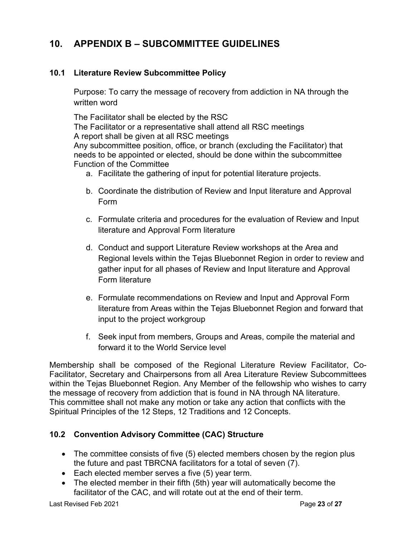### **10. APPENDIX B – SUBCOMMITTEE GUIDELINES**

### **10.1 Literature Review Subcommittee Policy**

Purpose: To carry the message of recovery from addiction in NA through the written word

The Facilitator shall be elected by the RSC The Facilitator or a representative shall attend all RSC meetings A report shall be given at all RSC meetings Any subcommittee position, office, or branch (excluding the Facilitator) that needs to be appointed or elected, should be done within the subcommittee Function of the Committee

- a. Facilitate the gathering of input for potential literature projects.
- b. Coordinate the distribution of Review and Input literature and Approval Form
- c. Formulate criteria and procedures for the evaluation of Review and Input literature and Approval Form literature
- d. Conduct and support Literature Review workshops at the Area and Regional levels within the Tejas Bluebonnet Region in order to review and gather input for all phases of Review and Input literature and Approval Form literature
- e. Formulate recommendations on Review and Input and Approval Form literature from Areas within the Tejas Bluebonnet Region and forward that input to the project workgroup
- f. Seek input from members, Groups and Areas, compile the material and forward it to the World Service level

Membership shall be composed of the Regional Literature Review Facilitator, Co-Facilitator, Secretary and Chairpersons from all Area Literature Review Subcommittees within the Tejas Bluebonnet Region. Any Member of the fellowship who wishes to carry the message of recovery from addiction that is found in NA through NA literature. This committee shall not make any motion or take any action that conflicts with the Spiritual Principles of the 12 Steps, 12 Traditions and 12 Concepts.

### **10.2 Convention Advisory Committee (CAC) Structure**

- The committee consists of five (5) elected members chosen by the region plus the future and past TBRCNA facilitators for a total of seven (7).
- Each elected member serves a five (5) year term.
- The elected member in their fifth (5th) year will automatically become the facilitator of the CAC, and will rotate out at the end of their term.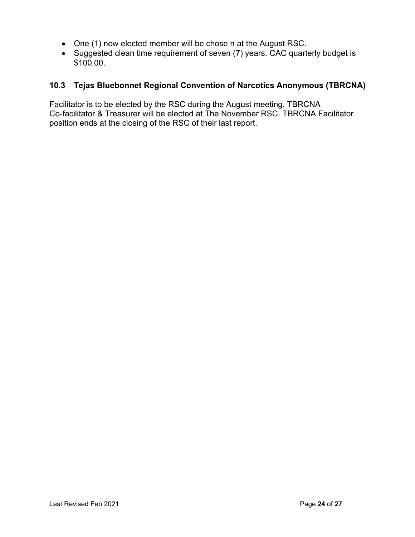- One (1) new elected member will be chose n at the August RSC.
- Suggested clean time requirement of seven (7) years. CAC quarterly budget is \$100.00.

### **10.3 Tejas Bluebonnet Regional Convention of Narcotics Anonymous (TBRCNA)**

Facilitator is to be elected by the RSC during the August meeting, TBRCNA Co-facilitator & Treasurer will be elected at The November RSC. TBRCNA Facilitator position ends at the closing of the RSC of their last report.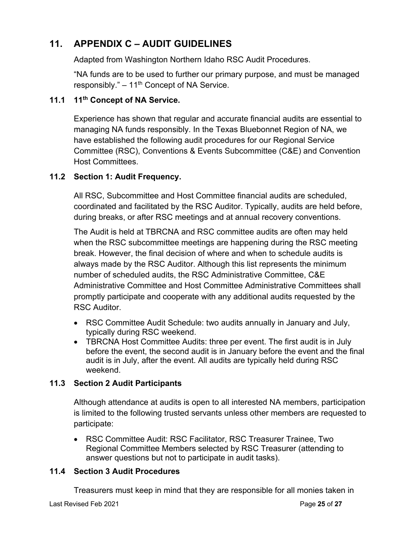### **11. APPENDIX C – AUDIT GUIDELINES**

Adapted from Washington Northern Idaho RSC Audit Procedures.

"NA funds are to be used to further our primary purpose, and must be managed responsibly."  $-11<sup>th</sup>$  Concept of NA Service.

### **11.1 11th Concept of NA Service.**

Experience has shown that regular and accurate financial audits are essential to managing NA funds responsibly. In the Texas Bluebonnet Region of NA, we have established the following audit procedures for our Regional Service Committee (RSC), Conventions & Events Subcommittee (C&E) and Convention Host Committees.

### **11.2 Section 1: Audit Frequency.**

All RSC, Subcommittee and Host Committee financial audits are scheduled, coordinated and facilitated by the RSC Auditor. Typically, audits are held before, during breaks, or after RSC meetings and at annual recovery conventions.

The Audit is held at TBRCNA and RSC committee audits are often may held when the RSC subcommittee meetings are happening during the RSC meeting break. However, the final decision of where and when to schedule audits is always made by the RSC Auditor. Although this list represents the minimum number of scheduled audits, the RSC Administrative Committee, C&E Administrative Committee and Host Committee Administrative Committees shall promptly participate and cooperate with any additional audits requested by the RSC Auditor.

- RSC Committee Audit Schedule: two audits annually in January and July, typically during RSC weekend.
- TBRCNA Host Committee Audits: three per event. The first audit is in July before the event, the second audit is in January before the event and the final audit is in July, after the event. All audits are typically held during RSC weekend.

### **11.3 Section 2 Audit Participants**

Although attendance at audits is open to all interested NA members, participation is limited to the following trusted servants unless other members are requested to participate:

• RSC Committee Audit: RSC Facilitator, RSC Treasurer Trainee, Two Regional Committee Members selected by RSC Treasurer (attending to answer questions but not to participate in audit tasks).

### **11.4 Section 3 Audit Procedures**

Treasurers must keep in mind that they are responsible for all monies taken in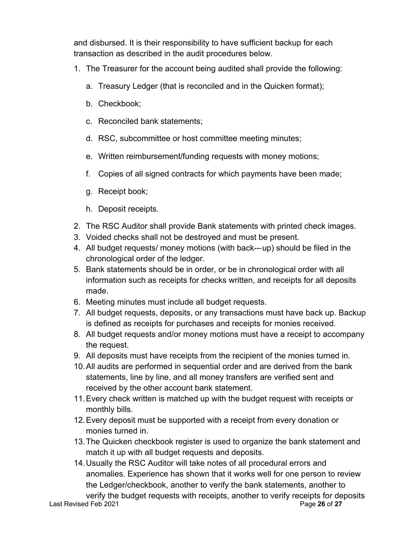and disbursed. It is their responsibility to have sufficient backup for each transaction as described in the audit procedures below.

- 1. The Treasurer for the account being audited shall provide the following:
	- a. Treasury Ledger (that is reconciled and in the Quicken format);
	- b. Checkbook;
	- c. Reconciled bank statements;
	- d. RSC, subcommittee or host committee meeting minutes;
	- e. Written reimbursement/funding requests with money motions;
	- f. Copies of all signed contracts for which payments have been made;
	- g. Receipt book;
	- h. Deposit receipts.
- 2. The RSC Auditor shall provide Bank statements with printed check images.
- 3. Voided checks shall not be destroyed and must be present.
- 4. All budget requests/ money motions (with back---up) should be filed in the chronological order of the ledger.
- 5. Bank statements should be in order, or be in chronological order with all information such as receipts for checks written, and receipts for all deposits made.
- 6. Meeting minutes must include all budget requests.
- 7. All budget requests, deposits, or any transactions must have back up. Backup is defined as receipts for purchases and receipts for monies received.
- 8. All budget requests and/or money motions must have a receipt to accompany the request.
- 9. All deposits must have receipts from the recipient of the monies turned in.
- 10.All audits are performed in sequential order and are derived from the bank statements, line by line, and all money transfers are verified sent and received by the other account bank statement.
- 11.Every check written is matched up with the budget request with receipts or monthly bills.
- 12.Every deposit must be supported with a receipt from every donation or monies turned in.
- 13.The Quicken checkbook register is used to organize the bank statement and match it up with all budget requests and deposits.
- 14.Usually the RSC Auditor will take notes of all procedural errors and anomalies. Experience has shown that it works well for one person to review the Ledger/checkbook, another to verify the bank statements, another to verify the budget requests with receipts, another to verify receipts for deposits